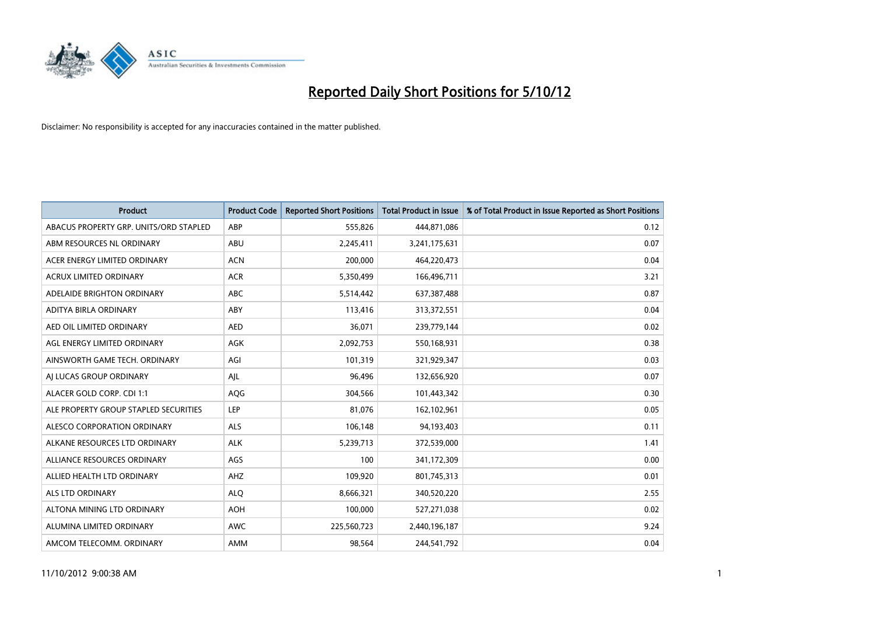

| <b>Product</b>                         | <b>Product Code</b> | <b>Reported Short Positions</b> | <b>Total Product in Issue</b> | % of Total Product in Issue Reported as Short Positions |
|----------------------------------------|---------------------|---------------------------------|-------------------------------|---------------------------------------------------------|
| ABACUS PROPERTY GRP. UNITS/ORD STAPLED | ABP                 | 555,826                         | 444,871,086                   | 0.12                                                    |
| ABM RESOURCES NL ORDINARY              | ABU                 | 2,245,411                       | 3,241,175,631                 | 0.07                                                    |
| ACER ENERGY LIMITED ORDINARY           | <b>ACN</b>          | 200,000                         | 464,220,473                   | 0.04                                                    |
| ACRUX LIMITED ORDINARY                 | <b>ACR</b>          | 5,350,499                       | 166,496,711                   | 3.21                                                    |
| ADELAIDE BRIGHTON ORDINARY             | <b>ABC</b>          | 5,514,442                       | 637,387,488                   | 0.87                                                    |
| ADITYA BIRLA ORDINARY                  | ABY                 | 113,416                         | 313,372,551                   | 0.04                                                    |
| AED OIL LIMITED ORDINARY               | <b>AED</b>          | 36,071                          | 239,779,144                   | 0.02                                                    |
| AGL ENERGY LIMITED ORDINARY            | <b>AGK</b>          | 2,092,753                       | 550,168,931                   | 0.38                                                    |
| AINSWORTH GAME TECH. ORDINARY          | AGI                 | 101,319                         | 321,929,347                   | 0.03                                                    |
| AI LUCAS GROUP ORDINARY                | AJL                 | 96,496                          | 132,656,920                   | 0.07                                                    |
| ALACER GOLD CORP. CDI 1:1              | AQG                 | 304,566                         | 101,443,342                   | 0.30                                                    |
| ALE PROPERTY GROUP STAPLED SECURITIES  | LEP                 | 81,076                          | 162,102,961                   | 0.05                                                    |
| ALESCO CORPORATION ORDINARY            | <b>ALS</b>          | 106,148                         | 94,193,403                    | 0.11                                                    |
| ALKANE RESOURCES LTD ORDINARY          | <b>ALK</b>          | 5,239,713                       | 372,539,000                   | 1.41                                                    |
| ALLIANCE RESOURCES ORDINARY            | AGS                 | 100                             | 341,172,309                   | 0.00                                                    |
| ALLIED HEALTH LTD ORDINARY             | AHZ                 | 109,920                         | 801,745,313                   | 0.01                                                    |
| <b>ALS LTD ORDINARY</b>                | <b>ALO</b>          | 8,666,321                       | 340,520,220                   | 2.55                                                    |
| ALTONA MINING LTD ORDINARY             | <b>AOH</b>          | 100,000                         | 527,271,038                   | 0.02                                                    |
| ALUMINA LIMITED ORDINARY               | <b>AWC</b>          | 225,560,723                     | 2,440,196,187                 | 9.24                                                    |
| AMCOM TELECOMM, ORDINARY               | <b>AMM</b>          | 98,564                          | 244,541,792                   | 0.04                                                    |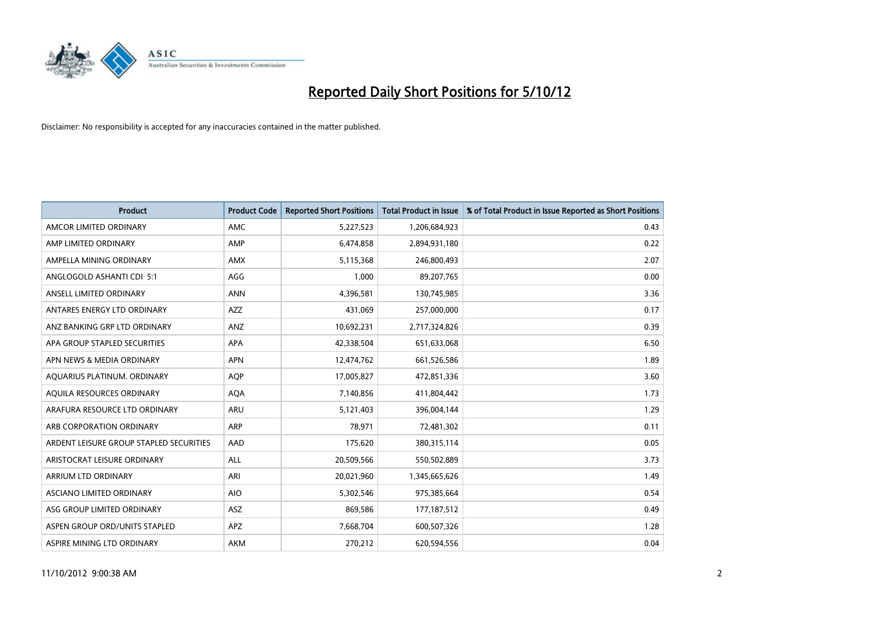

| <b>Product</b>                          | <b>Product Code</b> | <b>Reported Short Positions</b> | <b>Total Product in Issue</b> | % of Total Product in Issue Reported as Short Positions |
|-----------------------------------------|---------------------|---------------------------------|-------------------------------|---------------------------------------------------------|
| AMCOR LIMITED ORDINARY                  | <b>AMC</b>          | 5,227,523                       | 1,206,684,923                 | 0.43                                                    |
| AMP LIMITED ORDINARY                    | AMP                 | 6,474,858                       | 2,894,931,180                 | 0.22                                                    |
| AMPELLA MINING ORDINARY                 | <b>AMX</b>          | 5,115,368                       | 246,800,493                   | 2.07                                                    |
| ANGLOGOLD ASHANTI CDI 5:1               | AGG                 | 1,000                           | 89,207,765                    | 0.00                                                    |
| ANSELL LIMITED ORDINARY                 | <b>ANN</b>          | 4,396,581                       | 130,745,985                   | 3.36                                                    |
| ANTARES ENERGY LTD ORDINARY             | <b>AZZ</b>          | 431,069                         | 257,000,000                   | 0.17                                                    |
| ANZ BANKING GRP LTD ORDINARY            | <b>ANZ</b>          | 10,692,231                      | 2,717,324,826                 | 0.39                                                    |
| APA GROUP STAPLED SECURITIES            | <b>APA</b>          | 42,338,504                      | 651,633,068                   | 6.50                                                    |
| APN NEWS & MEDIA ORDINARY               | <b>APN</b>          | 12,474,762                      | 661,526,586                   | 1.89                                                    |
| AQUARIUS PLATINUM. ORDINARY             | <b>AOP</b>          | 17,005,827                      | 472,851,336                   | 3.60                                                    |
| AQUILA RESOURCES ORDINARY               | <b>AQA</b>          | 7,140,856                       | 411,804,442                   | 1.73                                                    |
| ARAFURA RESOURCE LTD ORDINARY           | <b>ARU</b>          | 5,121,403                       | 396,004,144                   | 1.29                                                    |
| ARB CORPORATION ORDINARY                | <b>ARP</b>          | 78,971                          | 72,481,302                    | 0.11                                                    |
| ARDENT LEISURE GROUP STAPLED SECURITIES | AAD                 | 175,620                         | 380, 315, 114                 | 0.05                                                    |
| ARISTOCRAT LEISURE ORDINARY             | <b>ALL</b>          | 20,509,566                      | 550,502,889                   | 3.73                                                    |
| ARRIUM LTD ORDINARY                     | ARI                 | 20,021,960                      | 1,345,665,626                 | 1.49                                                    |
| ASCIANO LIMITED ORDINARY                | <b>AIO</b>          | 5,302,546                       | 975,385,664                   | 0.54                                                    |
| ASG GROUP LIMITED ORDINARY              | <b>ASZ</b>          | 869,586                         | 177, 187, 512                 | 0.49                                                    |
| ASPEN GROUP ORD/UNITS STAPLED           | APZ                 | 7,668,704                       | 600,507,326                   | 1.28                                                    |
| ASPIRE MINING LTD ORDINARY              | <b>AKM</b>          | 270,212                         | 620,594,556                   | 0.04                                                    |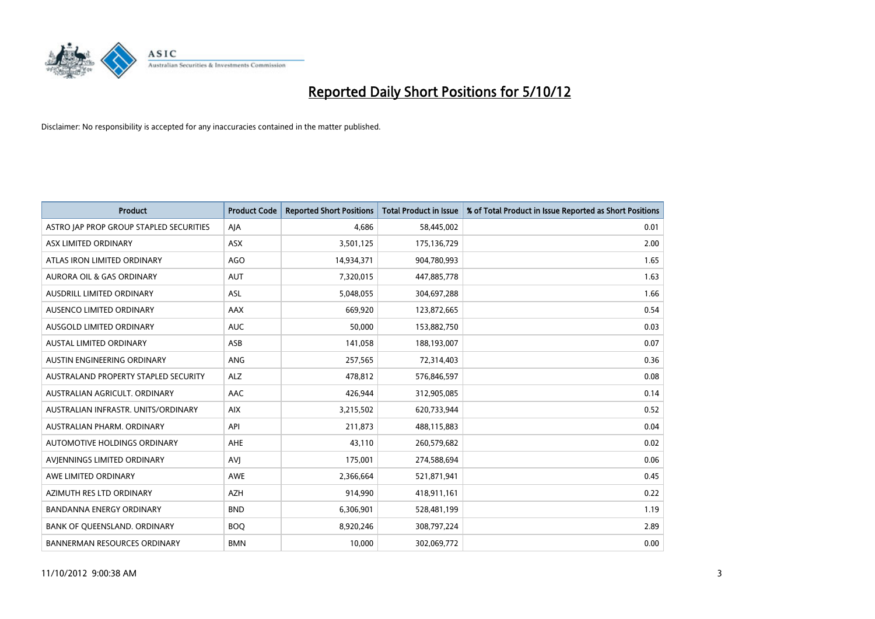

| <b>Product</b>                          | <b>Product Code</b> | <b>Reported Short Positions</b> | <b>Total Product in Issue</b> | % of Total Product in Issue Reported as Short Positions |
|-----------------------------------------|---------------------|---------------------------------|-------------------------------|---------------------------------------------------------|
| ASTRO JAP PROP GROUP STAPLED SECURITIES | AIA                 | 4.686                           | 58,445,002                    | 0.01                                                    |
| ASX LIMITED ORDINARY                    | <b>ASX</b>          | 3,501,125                       | 175,136,729                   | 2.00                                                    |
| ATLAS IRON LIMITED ORDINARY             | AGO                 | 14,934,371                      | 904,780,993                   | 1.65                                                    |
| AURORA OIL & GAS ORDINARY               | <b>AUT</b>          | 7,320,015                       | 447,885,778                   | 1.63                                                    |
| AUSDRILL LIMITED ORDINARY               | <b>ASL</b>          | 5,048,055                       | 304,697,288                   | 1.66                                                    |
| AUSENCO LIMITED ORDINARY                | <b>AAX</b>          | 669,920                         | 123,872,665                   | 0.54                                                    |
| AUSGOLD LIMITED ORDINARY                | <b>AUC</b>          | 50,000                          | 153,882,750                   | 0.03                                                    |
| <b>AUSTAL LIMITED ORDINARY</b>          | ASB                 | 141,058                         | 188,193,007                   | 0.07                                                    |
| AUSTIN ENGINEERING ORDINARY             | <b>ANG</b>          | 257,565                         | 72,314,403                    | 0.36                                                    |
| AUSTRALAND PROPERTY STAPLED SECURITY    | <b>ALZ</b>          | 478,812                         | 576,846,597                   | 0.08                                                    |
| AUSTRALIAN AGRICULT. ORDINARY           | AAC                 | 426,944                         | 312,905,085                   | 0.14                                                    |
| AUSTRALIAN INFRASTR. UNITS/ORDINARY     | <b>AIX</b>          | 3,215,502                       | 620,733,944                   | 0.52                                                    |
| AUSTRALIAN PHARM. ORDINARY              | API                 | 211,873                         | 488,115,883                   | 0.04                                                    |
| AUTOMOTIVE HOLDINGS ORDINARY            | <b>AHE</b>          | 43,110                          | 260,579,682                   | 0.02                                                    |
| AVIENNINGS LIMITED ORDINARY             | AVI                 | 175,001                         | 274,588,694                   | 0.06                                                    |
| AWE LIMITED ORDINARY                    | <b>AWE</b>          | 2,366,664                       | 521,871,941                   | 0.45                                                    |
| AZIMUTH RES LTD ORDINARY                | <b>AZH</b>          | 914,990                         | 418,911,161                   | 0.22                                                    |
| BANDANNA ENERGY ORDINARY                | <b>BND</b>          | 6,306,901                       | 528,481,199                   | 1.19                                                    |
| BANK OF QUEENSLAND. ORDINARY            | <b>BOQ</b>          | 8,920,246                       | 308,797,224                   | 2.89                                                    |
| <b>BANNERMAN RESOURCES ORDINARY</b>     | <b>BMN</b>          | 10,000                          | 302,069,772                   | 0.00                                                    |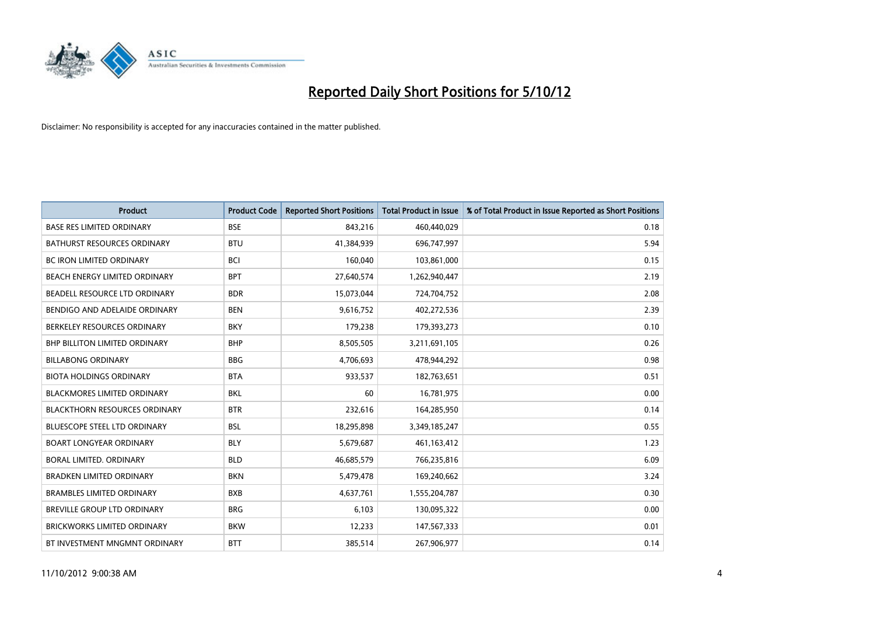

| <b>Product</b>                       | <b>Product Code</b> | <b>Reported Short Positions</b> | <b>Total Product in Issue</b> | % of Total Product in Issue Reported as Short Positions |
|--------------------------------------|---------------------|---------------------------------|-------------------------------|---------------------------------------------------------|
| <b>BASE RES LIMITED ORDINARY</b>     | <b>BSE</b>          | 843,216                         | 460,440,029                   | 0.18                                                    |
| <b>BATHURST RESOURCES ORDINARY</b>   | <b>BTU</b>          | 41,384,939                      | 696,747,997                   | 5.94                                                    |
| <b>BC IRON LIMITED ORDINARY</b>      | <b>BCI</b>          | 160,040                         | 103,861,000                   | 0.15                                                    |
| <b>BEACH ENERGY LIMITED ORDINARY</b> | <b>BPT</b>          | 27,640,574                      | 1,262,940,447                 | 2.19                                                    |
| BEADELL RESOURCE LTD ORDINARY        | <b>BDR</b>          | 15,073,044                      | 724,704,752                   | 2.08                                                    |
| BENDIGO AND ADELAIDE ORDINARY        | <b>BEN</b>          | 9,616,752                       | 402,272,536                   | 2.39                                                    |
| BERKELEY RESOURCES ORDINARY          | <b>BKY</b>          | 179,238                         | 179,393,273                   | 0.10                                                    |
| <b>BHP BILLITON LIMITED ORDINARY</b> | <b>BHP</b>          | 8,505,505                       | 3,211,691,105                 | 0.26                                                    |
| <b>BILLABONG ORDINARY</b>            | <b>BBG</b>          | 4,706,693                       | 478,944,292                   | 0.98                                                    |
| <b>BIOTA HOLDINGS ORDINARY</b>       | <b>BTA</b>          | 933,537                         | 182,763,651                   | 0.51                                                    |
| <b>BLACKMORES LIMITED ORDINARY</b>   | <b>BKL</b>          | 60                              | 16,781,975                    | 0.00                                                    |
| <b>BLACKTHORN RESOURCES ORDINARY</b> | <b>BTR</b>          | 232,616                         | 164,285,950                   | 0.14                                                    |
| <b>BLUESCOPE STEEL LTD ORDINARY</b>  | <b>BSL</b>          | 18,295,898                      | 3,349,185,247                 | 0.55                                                    |
| <b>BOART LONGYEAR ORDINARY</b>       | <b>BLY</b>          | 5,679,687                       | 461,163,412                   | 1.23                                                    |
| BORAL LIMITED, ORDINARY              | <b>BLD</b>          | 46,685,579                      | 766,235,816                   | 6.09                                                    |
| <b>BRADKEN LIMITED ORDINARY</b>      | <b>BKN</b>          | 5,479,478                       | 169,240,662                   | 3.24                                                    |
| <b>BRAMBLES LIMITED ORDINARY</b>     | <b>BXB</b>          | 4,637,761                       | 1,555,204,787                 | 0.30                                                    |
| BREVILLE GROUP LTD ORDINARY          | <b>BRG</b>          | 6,103                           | 130,095,322                   | 0.00                                                    |
| <b>BRICKWORKS LIMITED ORDINARY</b>   | <b>BKW</b>          | 12,233                          | 147,567,333                   | 0.01                                                    |
| BT INVESTMENT MNGMNT ORDINARY        | <b>BTT</b>          | 385,514                         | 267,906,977                   | 0.14                                                    |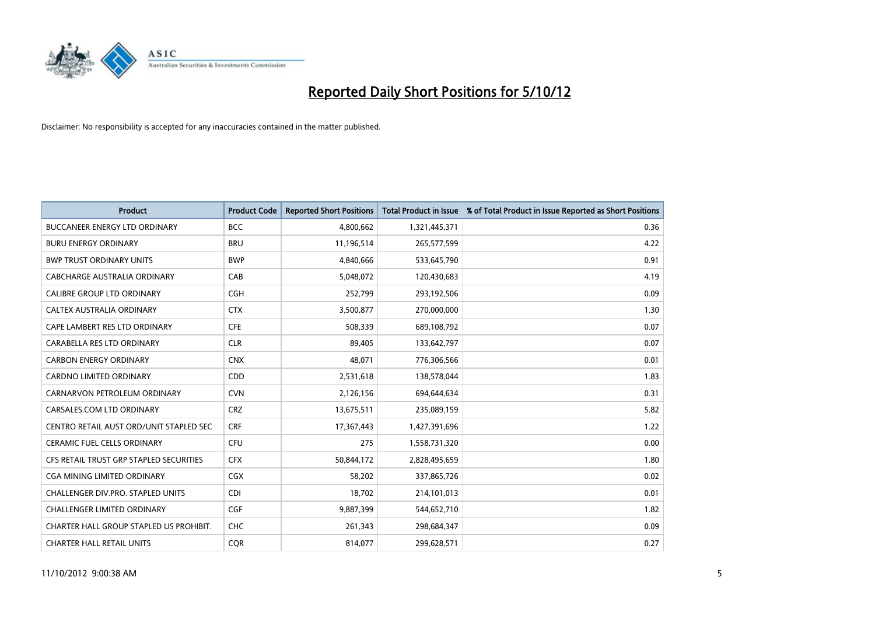

| <b>Product</b>                          | <b>Product Code</b> | <b>Reported Short Positions</b> | <b>Total Product in Issue</b> | % of Total Product in Issue Reported as Short Positions |
|-----------------------------------------|---------------------|---------------------------------|-------------------------------|---------------------------------------------------------|
| <b>BUCCANEER ENERGY LTD ORDINARY</b>    | <b>BCC</b>          | 4,800,662                       | 1,321,445,371                 | 0.36                                                    |
| <b>BURU ENERGY ORDINARY</b>             | <b>BRU</b>          | 11,196,514                      | 265,577,599                   | 4.22                                                    |
| <b>BWP TRUST ORDINARY UNITS</b>         | <b>BWP</b>          | 4,840,666                       | 533,645,790                   | 0.91                                                    |
| CABCHARGE AUSTRALIA ORDINARY            | CAB                 | 5,048,072                       | 120,430,683                   | 4.19                                                    |
| <b>CALIBRE GROUP LTD ORDINARY</b>       | <b>CGH</b>          | 252,799                         | 293,192,506                   | 0.09                                                    |
| CALTEX AUSTRALIA ORDINARY               | <b>CTX</b>          | 3,500,877                       | 270,000,000                   | 1.30                                                    |
| CAPE LAMBERT RES LTD ORDINARY           | <b>CFE</b>          | 508.339                         | 689,108,792                   | 0.07                                                    |
| CARABELLA RES LTD ORDINARY              | <b>CLR</b>          | 89,405                          | 133,642,797                   | 0.07                                                    |
| <b>CARBON ENERGY ORDINARY</b>           | <b>CNX</b>          | 48,071                          | 776,306,566                   | 0.01                                                    |
| <b>CARDNO LIMITED ORDINARY</b>          | <b>CDD</b>          | 2,531,618                       | 138,578,044                   | 1.83                                                    |
| CARNARVON PETROLEUM ORDINARY            | <b>CVN</b>          | 2,126,156                       | 694,644,634                   | 0.31                                                    |
| CARSALES.COM LTD ORDINARY               | <b>CRZ</b>          | 13,675,511                      | 235,089,159                   | 5.82                                                    |
| CENTRO RETAIL AUST ORD/UNIT STAPLED SEC | <b>CRF</b>          | 17,367,443                      | 1,427,391,696                 | 1.22                                                    |
| <b>CERAMIC FUEL CELLS ORDINARY</b>      | <b>CFU</b>          | 275                             | 1,558,731,320                 | 0.00                                                    |
| CFS RETAIL TRUST GRP STAPLED SECURITIES | <b>CFX</b>          | 50,844,172                      | 2,828,495,659                 | 1.80                                                    |
| CGA MINING LIMITED ORDINARY             | <b>CGX</b>          | 58,202                          | 337,865,726                   | 0.02                                                    |
| CHALLENGER DIV.PRO. STAPLED UNITS       | <b>CDI</b>          | 18,702                          | 214,101,013                   | 0.01                                                    |
| <b>CHALLENGER LIMITED ORDINARY</b>      | <b>CGF</b>          | 9,887,399                       | 544,652,710                   | 1.82                                                    |
| CHARTER HALL GROUP STAPLED US PROHIBIT. | <b>CHC</b>          | 261,343                         | 298,684,347                   | 0.09                                                    |
| <b>CHARTER HALL RETAIL UNITS</b>        | <b>COR</b>          | 814,077                         | 299,628,571                   | 0.27                                                    |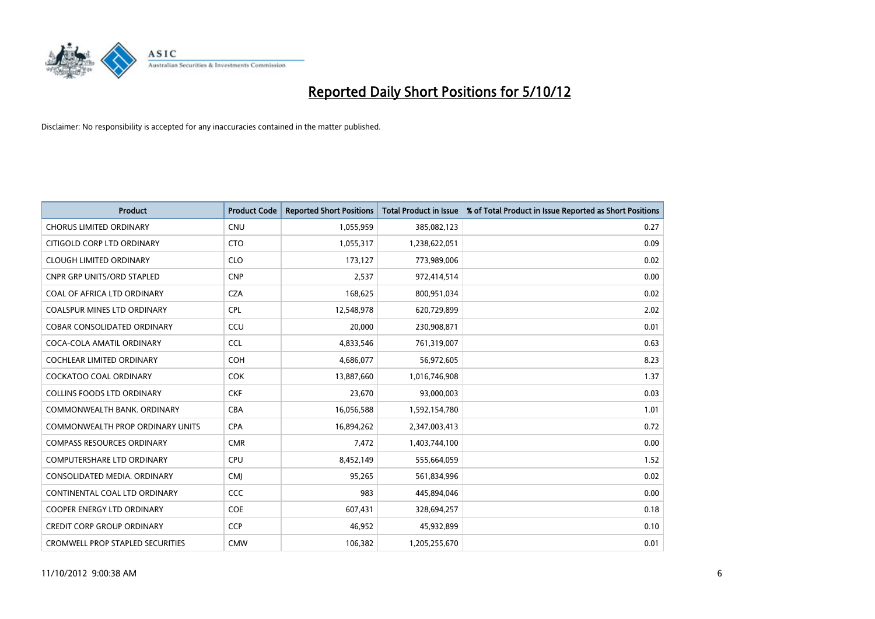

| <b>Product</b>                          | <b>Product Code</b> | <b>Reported Short Positions</b> | <b>Total Product in Issue</b> | % of Total Product in Issue Reported as Short Positions |
|-----------------------------------------|---------------------|---------------------------------|-------------------------------|---------------------------------------------------------|
| <b>CHORUS LIMITED ORDINARY</b>          | <b>CNU</b>          | 1,055,959                       | 385,082,123                   | 0.27                                                    |
| CITIGOLD CORP LTD ORDINARY              | <b>CTO</b>          | 1,055,317                       | 1,238,622,051                 | 0.09                                                    |
| <b>CLOUGH LIMITED ORDINARY</b>          | <b>CLO</b>          | 173,127                         | 773,989,006                   | 0.02                                                    |
| <b>CNPR GRP UNITS/ORD STAPLED</b>       | <b>CNP</b>          | 2,537                           | 972,414,514                   | 0.00                                                    |
| COAL OF AFRICA LTD ORDINARY             | <b>CZA</b>          | 168,625                         | 800,951,034                   | 0.02                                                    |
| <b>COALSPUR MINES LTD ORDINARY</b>      | <b>CPL</b>          | 12,548,978                      | 620,729,899                   | 2.02                                                    |
| <b>COBAR CONSOLIDATED ORDINARY</b>      | CCU                 | 20.000                          | 230,908,871                   | 0.01                                                    |
| COCA-COLA AMATIL ORDINARY               | <b>CCL</b>          | 4,833,546                       | 761,319,007                   | 0.63                                                    |
| COCHLEAR LIMITED ORDINARY               | <b>COH</b>          | 4,686,077                       | 56,972,605                    | 8.23                                                    |
| <b>COCKATOO COAL ORDINARY</b>           | <b>COK</b>          | 13,887,660                      | 1,016,746,908                 | 1.37                                                    |
| <b>COLLINS FOODS LTD ORDINARY</b>       | <b>CKF</b>          | 23,670                          | 93,000,003                    | 0.03                                                    |
| COMMONWEALTH BANK, ORDINARY             | <b>CBA</b>          | 16,056,588                      | 1,592,154,780                 | 1.01                                                    |
| <b>COMMONWEALTH PROP ORDINARY UNITS</b> | <b>CPA</b>          | 16,894,262                      | 2,347,003,413                 | 0.72                                                    |
| <b>COMPASS RESOURCES ORDINARY</b>       | <b>CMR</b>          | 7,472                           | 1,403,744,100                 | 0.00                                                    |
| <b>COMPUTERSHARE LTD ORDINARY</b>       | CPU                 | 8,452,149                       | 555,664,059                   | 1.52                                                    |
| CONSOLIDATED MEDIA. ORDINARY            | <b>CMI</b>          | 95,265                          | 561,834,996                   | 0.02                                                    |
| CONTINENTAL COAL LTD ORDINARY           | CCC                 | 983                             | 445,894,046                   | 0.00                                                    |
| COOPER ENERGY LTD ORDINARY              | <b>COE</b>          | 607,431                         | 328,694,257                   | 0.18                                                    |
| <b>CREDIT CORP GROUP ORDINARY</b>       | <b>CCP</b>          | 46,952                          | 45,932,899                    | 0.10                                                    |
| <b>CROMWELL PROP STAPLED SECURITIES</b> | <b>CMW</b>          | 106,382                         | 1,205,255,670                 | 0.01                                                    |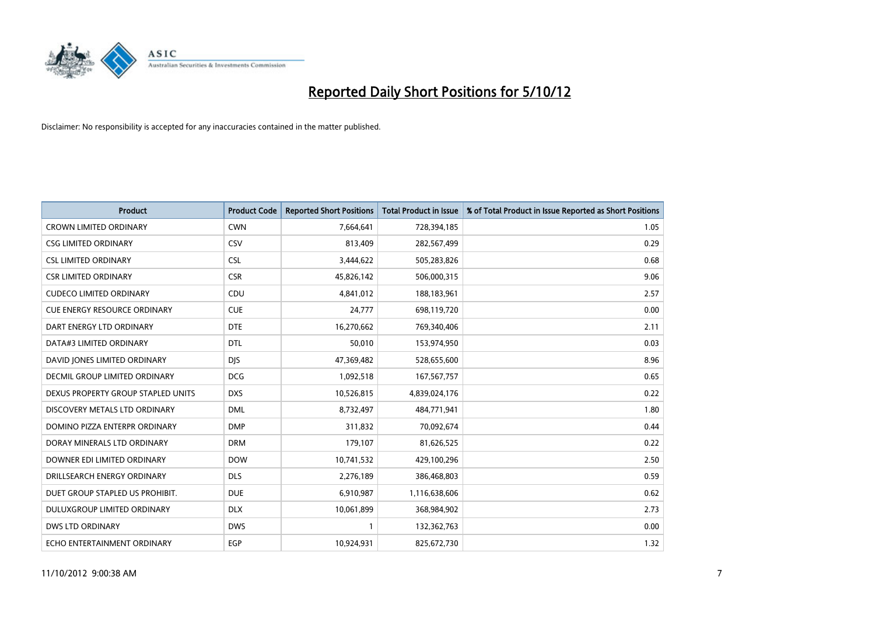

| <b>Product</b>                      | <b>Product Code</b> | <b>Reported Short Positions</b> | <b>Total Product in Issue</b> | % of Total Product in Issue Reported as Short Positions |
|-------------------------------------|---------------------|---------------------------------|-------------------------------|---------------------------------------------------------|
| <b>CROWN LIMITED ORDINARY</b>       | <b>CWN</b>          | 7,664,641                       | 728,394,185                   | 1.05                                                    |
| <b>CSG LIMITED ORDINARY</b>         | CSV                 | 813,409                         | 282,567,499                   | 0.29                                                    |
| <b>CSL LIMITED ORDINARY</b>         | <b>CSL</b>          | 3,444,622                       | 505,283,826                   | 0.68                                                    |
| <b>CSR LIMITED ORDINARY</b>         | <b>CSR</b>          | 45,826,142                      | 506,000,315                   | 9.06                                                    |
| <b>CUDECO LIMITED ORDINARY</b>      | CDU                 | 4,841,012                       | 188,183,961                   | 2.57                                                    |
| <b>CUE ENERGY RESOURCE ORDINARY</b> | <b>CUE</b>          | 24,777                          | 698,119,720                   | 0.00                                                    |
| DART ENERGY LTD ORDINARY            | <b>DTE</b>          | 16,270,662                      | 769,340,406                   | 2.11                                                    |
| DATA#3 LIMITED ORDINARY             | <b>DTL</b>          | 50,010                          | 153,974,950                   | 0.03                                                    |
| DAVID JONES LIMITED ORDINARY        | <b>DIS</b>          | 47,369,482                      | 528,655,600                   | 8.96                                                    |
| DECMIL GROUP LIMITED ORDINARY       | <b>DCG</b>          | 1,092,518                       | 167,567,757                   | 0.65                                                    |
| DEXUS PROPERTY GROUP STAPLED UNITS  | <b>DXS</b>          | 10,526,815                      | 4,839,024,176                 | 0.22                                                    |
| DISCOVERY METALS LTD ORDINARY       | <b>DML</b>          | 8,732,497                       | 484,771,941                   | 1.80                                                    |
| DOMINO PIZZA ENTERPR ORDINARY       | <b>DMP</b>          | 311,832                         | 70,092,674                    | 0.44                                                    |
| DORAY MINERALS LTD ORDINARY         | <b>DRM</b>          | 179,107                         | 81,626,525                    | 0.22                                                    |
| DOWNER EDI LIMITED ORDINARY         | <b>DOW</b>          | 10,741,532                      | 429,100,296                   | 2.50                                                    |
| DRILLSEARCH ENERGY ORDINARY         | <b>DLS</b>          | 2,276,189                       | 386,468,803                   | 0.59                                                    |
| DUET GROUP STAPLED US PROHIBIT.     | <b>DUE</b>          | 6,910,987                       | 1,116,638,606                 | 0.62                                                    |
| DULUXGROUP LIMITED ORDINARY         | <b>DLX</b>          | 10,061,899                      | 368,984,902                   | 2.73                                                    |
| <b>DWS LTD ORDINARY</b>             | <b>DWS</b>          | 1                               | 132,362,763                   | 0.00                                                    |
| ECHO ENTERTAINMENT ORDINARY         | EGP                 | 10,924,931                      | 825,672,730                   | 1.32                                                    |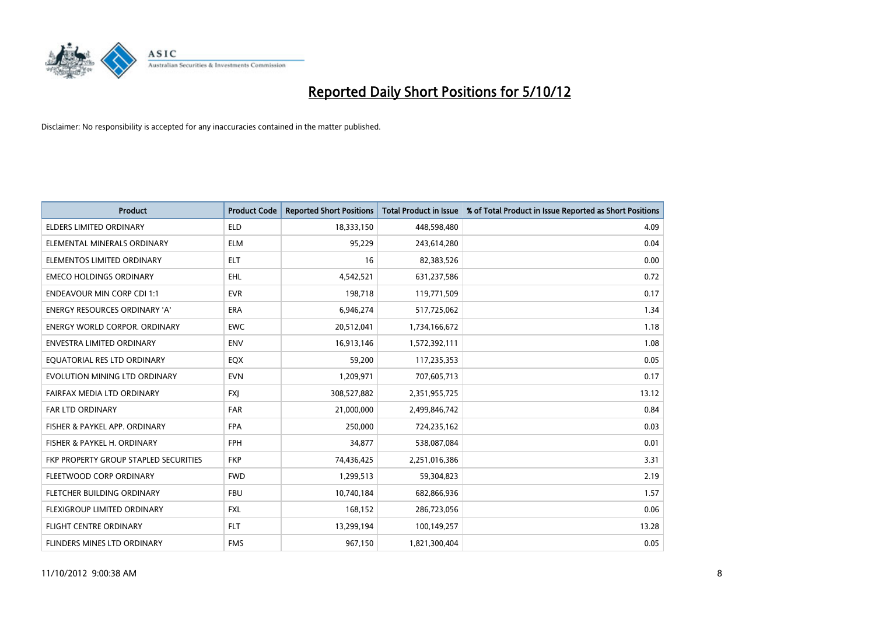

| <b>Product</b>                        | <b>Product Code</b> | <b>Reported Short Positions</b> | <b>Total Product in Issue</b> | % of Total Product in Issue Reported as Short Positions |
|---------------------------------------|---------------------|---------------------------------|-------------------------------|---------------------------------------------------------|
| <b>ELDERS LIMITED ORDINARY</b>        | <b>ELD</b>          | 18,333,150                      | 448,598,480                   | 4.09                                                    |
| ELEMENTAL MINERALS ORDINARY           | <b>ELM</b>          | 95,229                          | 243,614,280                   | 0.04                                                    |
| ELEMENTOS LIMITED ORDINARY            | <b>ELT</b>          | 16                              | 82,383,526                    | 0.00                                                    |
| <b>EMECO HOLDINGS ORDINARY</b>        | <b>EHL</b>          | 4,542,521                       | 631,237,586                   | 0.72                                                    |
| <b>ENDEAVOUR MIN CORP CDI 1:1</b>     | <b>EVR</b>          | 198,718                         | 119,771,509                   | 0.17                                                    |
| <b>ENERGY RESOURCES ORDINARY 'A'</b>  | <b>ERA</b>          | 6,946,274                       | 517,725,062                   | 1.34                                                    |
| <b>ENERGY WORLD CORPOR. ORDINARY</b>  | <b>EWC</b>          | 20,512,041                      | 1,734,166,672                 | 1.18                                                    |
| <b>ENVESTRA LIMITED ORDINARY</b>      | <b>ENV</b>          | 16,913,146                      | 1,572,392,111                 | 1.08                                                    |
| EQUATORIAL RES LTD ORDINARY           | EQX                 | 59,200                          | 117,235,353                   | 0.05                                                    |
| EVOLUTION MINING LTD ORDINARY         | <b>EVN</b>          | 1,209,971                       | 707,605,713                   | 0.17                                                    |
| FAIRFAX MEDIA LTD ORDINARY            | <b>FXI</b>          | 308,527,882                     | 2,351,955,725                 | 13.12                                                   |
| FAR LTD ORDINARY                      | <b>FAR</b>          | 21,000,000                      | 2,499,846,742                 | 0.84                                                    |
| FISHER & PAYKEL APP. ORDINARY         | <b>FPA</b>          | 250,000                         | 724,235,162                   | 0.03                                                    |
| FISHER & PAYKEL H. ORDINARY           | <b>FPH</b>          | 34,877                          | 538,087,084                   | 0.01                                                    |
| FKP PROPERTY GROUP STAPLED SECURITIES | <b>FKP</b>          | 74,436,425                      | 2,251,016,386                 | 3.31                                                    |
| FLEETWOOD CORP ORDINARY               | <b>FWD</b>          | 1,299,513                       | 59,304,823                    | 2.19                                                    |
| FLETCHER BUILDING ORDINARY            | <b>FBU</b>          | 10,740,184                      | 682,866,936                   | 1.57                                                    |
| FLEXIGROUP LIMITED ORDINARY           | <b>FXL</b>          | 168,152                         | 286,723,056                   | 0.06                                                    |
| FLIGHT CENTRE ORDINARY                | <b>FLT</b>          | 13,299,194                      | 100,149,257                   | 13.28                                                   |
| FLINDERS MINES LTD ORDINARY           | <b>FMS</b>          | 967,150                         | 1,821,300,404                 | 0.05                                                    |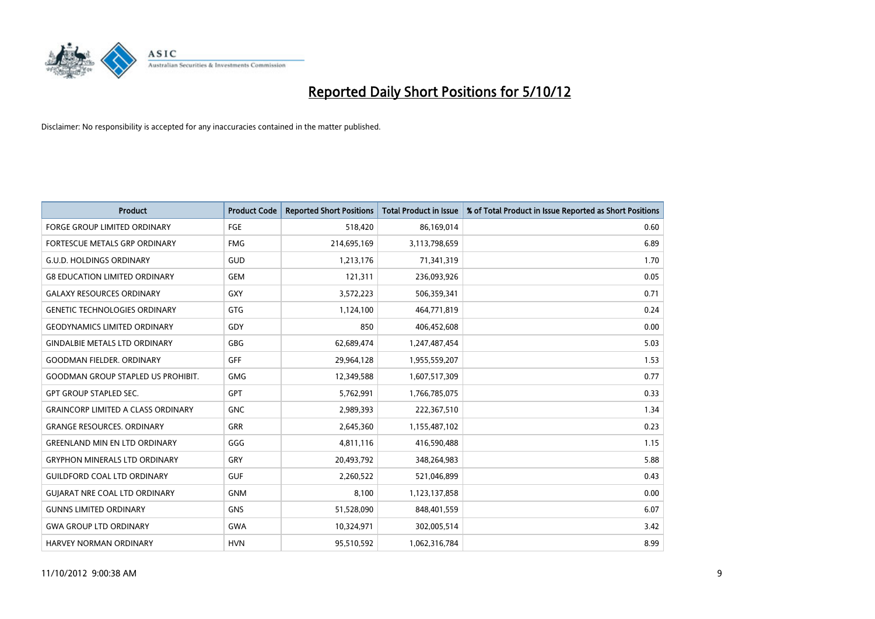

| <b>Product</b>                            | <b>Product Code</b> | <b>Reported Short Positions</b> | <b>Total Product in Issue</b> | % of Total Product in Issue Reported as Short Positions |
|-------------------------------------------|---------------------|---------------------------------|-------------------------------|---------------------------------------------------------|
| <b>FORGE GROUP LIMITED ORDINARY</b>       | FGE                 | 518,420                         | 86,169,014                    | 0.60                                                    |
| FORTESCUE METALS GRP ORDINARY             | <b>FMG</b>          | 214,695,169                     | 3,113,798,659                 | 6.89                                                    |
| <b>G.U.D. HOLDINGS ORDINARY</b>           | GUD                 | 1,213,176                       | 71,341,319                    | 1.70                                                    |
| <b>G8 EDUCATION LIMITED ORDINARY</b>      | <b>GEM</b>          | 121,311                         | 236,093,926                   | 0.05                                                    |
| <b>GALAXY RESOURCES ORDINARY</b>          | <b>GXY</b>          | 3,572,223                       | 506,359,341                   | 0.71                                                    |
| <b>GENETIC TECHNOLOGIES ORDINARY</b>      | <b>GTG</b>          | 1,124,100                       | 464,771,819                   | 0.24                                                    |
| <b>GEODYNAMICS LIMITED ORDINARY</b>       | GDY                 | 850                             | 406,452,608                   | 0.00                                                    |
| <b>GINDALBIE METALS LTD ORDINARY</b>      | <b>GBG</b>          | 62,689,474                      | 1,247,487,454                 | 5.03                                                    |
| <b>GOODMAN FIELDER. ORDINARY</b>          | <b>GFF</b>          | 29,964,128                      | 1,955,559,207                 | 1.53                                                    |
| <b>GOODMAN GROUP STAPLED US PROHIBIT.</b> | <b>GMG</b>          | 12,349,588                      | 1,607,517,309                 | 0.77                                                    |
| <b>GPT GROUP STAPLED SEC.</b>             | <b>GPT</b>          | 5,762,991                       | 1,766,785,075                 | 0.33                                                    |
| <b>GRAINCORP LIMITED A CLASS ORDINARY</b> | <b>GNC</b>          | 2,989,393                       | 222,367,510                   | 1.34                                                    |
| <b>GRANGE RESOURCES. ORDINARY</b>         | <b>GRR</b>          | 2,645,360                       | 1,155,487,102                 | 0.23                                                    |
| <b>GREENLAND MIN EN LTD ORDINARY</b>      | GGG                 | 4,811,116                       | 416,590,488                   | 1.15                                                    |
| <b>GRYPHON MINERALS LTD ORDINARY</b>      | GRY                 | 20,493,792                      | 348,264,983                   | 5.88                                                    |
| <b>GUILDFORD COAL LTD ORDINARY</b>        | <b>GUF</b>          | 2,260,522                       | 521,046,899                   | 0.43                                                    |
| <b>GUIARAT NRE COAL LTD ORDINARY</b>      | <b>GNM</b>          | 8,100                           | 1,123,137,858                 | 0.00                                                    |
| <b>GUNNS LIMITED ORDINARY</b>             | <b>GNS</b>          | 51,528,090                      | 848,401,559                   | 6.07                                                    |
| <b>GWA GROUP LTD ORDINARY</b>             | <b>GWA</b>          | 10,324,971                      | 302,005,514                   | 3.42                                                    |
| <b>HARVEY NORMAN ORDINARY</b>             | <b>HVN</b>          | 95,510,592                      | 1,062,316,784                 | 8.99                                                    |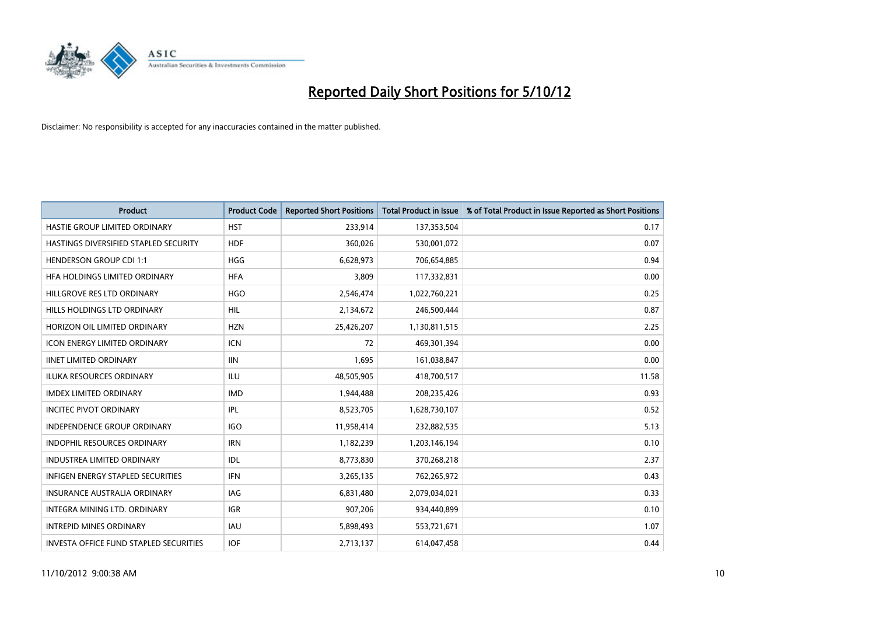

| <b>Product</b>                           | <b>Product Code</b> | <b>Reported Short Positions</b> | <b>Total Product in Issue</b> | % of Total Product in Issue Reported as Short Positions |
|------------------------------------------|---------------------|---------------------------------|-------------------------------|---------------------------------------------------------|
| HASTIE GROUP LIMITED ORDINARY            | <b>HST</b>          | 233,914                         | 137,353,504                   | 0.17                                                    |
| HASTINGS DIVERSIFIED STAPLED SECURITY    | <b>HDF</b>          | 360,026                         | 530,001,072                   | 0.07                                                    |
| <b>HENDERSON GROUP CDI 1:1</b>           | <b>HGG</b>          | 6,628,973                       | 706,654,885                   | 0.94                                                    |
| HFA HOLDINGS LIMITED ORDINARY            | <b>HFA</b>          | 3,809                           | 117,332,831                   | 0.00                                                    |
| HILLGROVE RES LTD ORDINARY               | <b>HGO</b>          | 2,546,474                       | 1,022,760,221                 | 0.25                                                    |
| HILLS HOLDINGS LTD ORDINARY              | <b>HIL</b>          | 2,134,672                       | 246,500,444                   | 0.87                                                    |
| HORIZON OIL LIMITED ORDINARY             | <b>HZN</b>          | 25,426,207                      | 1,130,811,515                 | 2.25                                                    |
| <b>ICON ENERGY LIMITED ORDINARY</b>      | <b>ICN</b>          | 72                              | 469,301,394                   | 0.00                                                    |
| <b>IINET LIMITED ORDINARY</b>            | <b>IIN</b>          | 1,695                           | 161,038,847                   | 0.00                                                    |
| <b>ILUKA RESOURCES ORDINARY</b>          | ILU                 | 48,505,905                      | 418,700,517                   | 11.58                                                   |
| <b>IMDEX LIMITED ORDINARY</b>            | <b>IMD</b>          | 1,944,488                       | 208,235,426                   | 0.93                                                    |
| <b>INCITEC PIVOT ORDINARY</b>            | <b>IPL</b>          | 8,523,705                       | 1,628,730,107                 | 0.52                                                    |
| <b>INDEPENDENCE GROUP ORDINARY</b>       | <b>IGO</b>          | 11,958,414                      | 232,882,535                   | 5.13                                                    |
| <b>INDOPHIL RESOURCES ORDINARY</b>       | <b>IRN</b>          | 1,182,239                       | 1,203,146,194                 | 0.10                                                    |
| <b>INDUSTREA LIMITED ORDINARY</b>        | <b>IDL</b>          | 8,773,830                       | 370,268,218                   | 2.37                                                    |
| <b>INFIGEN ENERGY STAPLED SECURITIES</b> | <b>IFN</b>          | 3,265,135                       | 762,265,972                   | 0.43                                                    |
| <b>INSURANCE AUSTRALIA ORDINARY</b>      | IAG                 | 6,831,480                       | 2,079,034,021                 | 0.33                                                    |
| INTEGRA MINING LTD, ORDINARY             | <b>IGR</b>          | 907,206                         | 934,440,899                   | 0.10                                                    |
| <b>INTREPID MINES ORDINARY</b>           | <b>IAU</b>          | 5,898,493                       | 553,721,671                   | 1.07                                                    |
| INVESTA OFFICE FUND STAPLED SECURITIES   | <b>IOF</b>          | 2,713,137                       | 614,047,458                   | 0.44                                                    |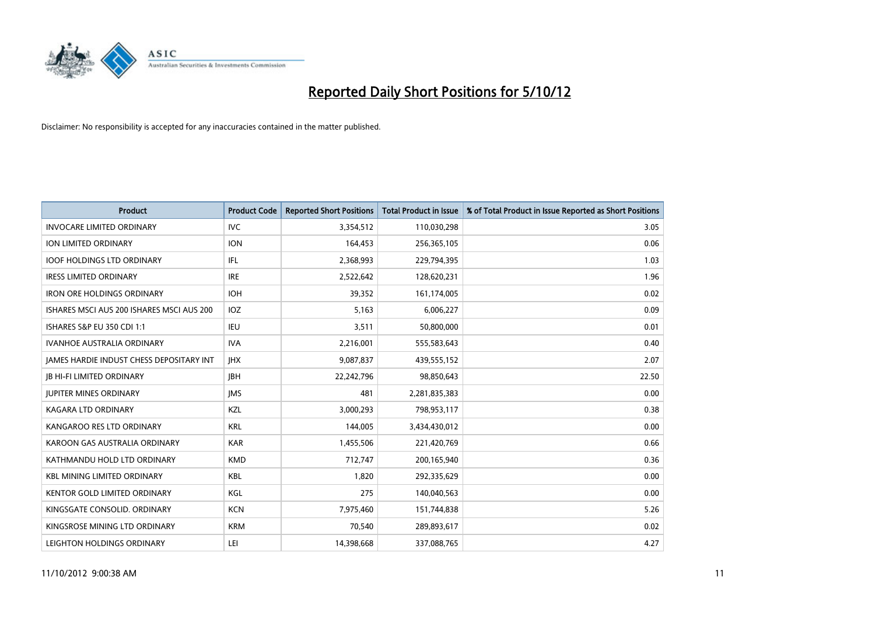

| <b>Product</b>                                  | <b>Product Code</b> | <b>Reported Short Positions</b> | <b>Total Product in Issue</b> | % of Total Product in Issue Reported as Short Positions |
|-------------------------------------------------|---------------------|---------------------------------|-------------------------------|---------------------------------------------------------|
| <b>INVOCARE LIMITED ORDINARY</b>                | <b>IVC</b>          | 3,354,512                       | 110,030,298                   | 3.05                                                    |
| ION LIMITED ORDINARY                            | <b>ION</b>          | 164,453                         | 256,365,105                   | 0.06                                                    |
| <b>IOOF HOLDINGS LTD ORDINARY</b>               | IFL                 | 2,368,993                       | 229,794,395                   | 1.03                                                    |
| <b>IRESS LIMITED ORDINARY</b>                   | <b>IRE</b>          | 2,522,642                       | 128,620,231                   | 1.96                                                    |
| <b>IRON ORE HOLDINGS ORDINARY</b>               | <b>IOH</b>          | 39,352                          | 161,174,005                   | 0.02                                                    |
| ISHARES MSCI AUS 200 ISHARES MSCI AUS 200       | IOZ                 | 5,163                           | 6,006,227                     | 0.09                                                    |
| ISHARES S&P EU 350 CDI 1:1                      | <b>IEU</b>          | 3,511                           | 50,800,000                    | 0.01                                                    |
| <b>IVANHOE AUSTRALIA ORDINARY</b>               | <b>IVA</b>          | 2,216,001                       | 555,583,643                   | 0.40                                                    |
| <b>JAMES HARDIE INDUST CHESS DEPOSITARY INT</b> | <b>IHX</b>          | 9,087,837                       | 439,555,152                   | 2.07                                                    |
| <b>IB HI-FI LIMITED ORDINARY</b>                | <b>IBH</b>          | 22,242,796                      | 98,850,643                    | 22.50                                                   |
| JUPITER MINES ORDINARY                          | <b>IMS</b>          | 481                             | 2,281,835,383                 | 0.00                                                    |
| <b>KAGARA LTD ORDINARY</b>                      | KZL                 | 3,000,293                       | 798,953,117                   | 0.38                                                    |
| KANGAROO RES LTD ORDINARY                       | <b>KRL</b>          | 144,005                         | 3,434,430,012                 | 0.00                                                    |
| KAROON GAS AUSTRALIA ORDINARY                   | <b>KAR</b>          | 1,455,506                       | 221,420,769                   | 0.66                                                    |
| KATHMANDU HOLD LTD ORDINARY                     | <b>KMD</b>          | 712,747                         | 200,165,940                   | 0.36                                                    |
| <b>KBL MINING LIMITED ORDINARY</b>              | <b>KBL</b>          | 1,820                           | 292,335,629                   | 0.00                                                    |
| <b>KENTOR GOLD LIMITED ORDINARY</b>             | KGL                 | 275                             | 140,040,563                   | 0.00                                                    |
| KINGSGATE CONSOLID. ORDINARY                    | <b>KCN</b>          | 7,975,460                       | 151,744,838                   | 5.26                                                    |
| KINGSROSE MINING LTD ORDINARY                   | <b>KRM</b>          | 70,540                          | 289,893,617                   | 0.02                                                    |
| LEIGHTON HOLDINGS ORDINARY                      | LEI                 | 14,398,668                      | 337,088,765                   | 4.27                                                    |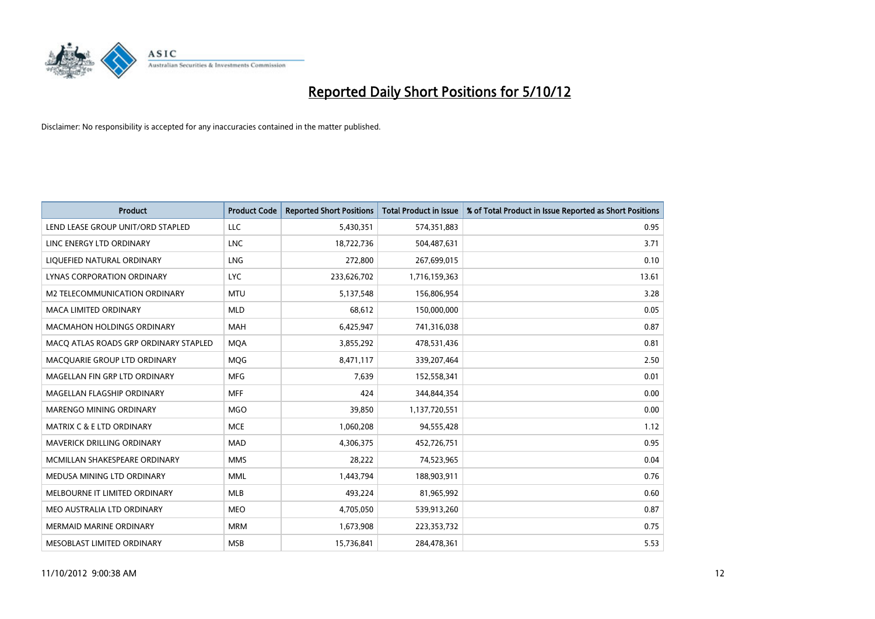

| <b>Product</b>                        | <b>Product Code</b> | <b>Reported Short Positions</b> | <b>Total Product in Issue</b> | % of Total Product in Issue Reported as Short Positions |
|---------------------------------------|---------------------|---------------------------------|-------------------------------|---------------------------------------------------------|
| LEND LEASE GROUP UNIT/ORD STAPLED     | LLC                 | 5,430,351                       | 574,351,883                   | 0.95                                                    |
| LINC ENERGY LTD ORDINARY              | <b>LNC</b>          | 18,722,736                      | 504,487,631                   | 3.71                                                    |
| LIQUEFIED NATURAL ORDINARY            | <b>LNG</b>          | 272,800                         | 267,699,015                   | 0.10                                                    |
| LYNAS CORPORATION ORDINARY            | <b>LYC</b>          | 233,626,702                     | 1,716,159,363                 | 13.61                                                   |
| M2 TELECOMMUNICATION ORDINARY         | <b>MTU</b>          | 5,137,548                       | 156,806,954                   | 3.28                                                    |
| <b>MACA LIMITED ORDINARY</b>          | <b>MLD</b>          | 68,612                          | 150,000,000                   | 0.05                                                    |
| <b>MACMAHON HOLDINGS ORDINARY</b>     | <b>MAH</b>          | 6,425,947                       | 741,316,038                   | 0.87                                                    |
| MACQ ATLAS ROADS GRP ORDINARY STAPLED | <b>MOA</b>          | 3,855,292                       | 478,531,436                   | 0.81                                                    |
| MACQUARIE GROUP LTD ORDINARY          | <b>MOG</b>          | 8,471,117                       | 339,207,464                   | 2.50                                                    |
| MAGELLAN FIN GRP LTD ORDINARY         | <b>MFG</b>          | 7.639                           | 152,558,341                   | 0.01                                                    |
| MAGELLAN FLAGSHIP ORDINARY            | <b>MFF</b>          | 424                             | 344,844,354                   | 0.00                                                    |
| <b>MARENGO MINING ORDINARY</b>        | <b>MGO</b>          | 39,850                          | 1,137,720,551                 | 0.00                                                    |
| <b>MATRIX C &amp; E LTD ORDINARY</b>  | <b>MCE</b>          | 1,060,208                       | 94,555,428                    | 1.12                                                    |
| <b>MAVERICK DRILLING ORDINARY</b>     | <b>MAD</b>          | 4,306,375                       | 452,726,751                   | 0.95                                                    |
| MCMILLAN SHAKESPEARE ORDINARY         | <b>MMS</b>          | 28,222                          | 74,523,965                    | 0.04                                                    |
| MEDUSA MINING LTD ORDINARY            | <b>MML</b>          | 1,443,794                       | 188,903,911                   | 0.76                                                    |
| MELBOURNE IT LIMITED ORDINARY         | <b>MLB</b>          | 493,224                         | 81,965,992                    | 0.60                                                    |
| MEO AUSTRALIA LTD ORDINARY            | <b>MEO</b>          | 4,705,050                       | 539,913,260                   | 0.87                                                    |
| <b>MERMAID MARINE ORDINARY</b>        | <b>MRM</b>          | 1,673,908                       | 223,353,732                   | 0.75                                                    |
| MESOBLAST LIMITED ORDINARY            | <b>MSB</b>          | 15,736,841                      | 284.478.361                   | 5.53                                                    |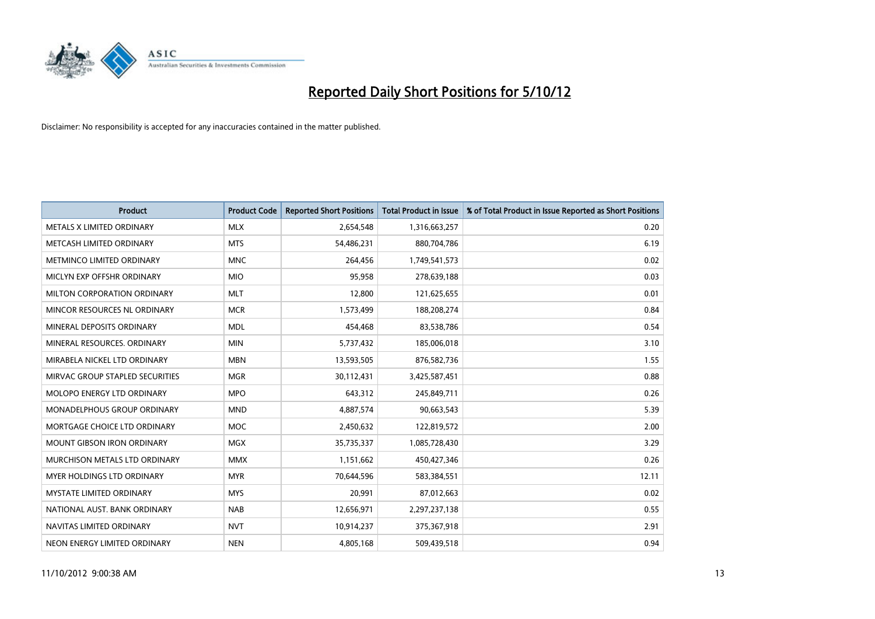

| <b>Product</b>                       | <b>Product Code</b> | <b>Reported Short Positions</b> | <b>Total Product in Issue</b> | % of Total Product in Issue Reported as Short Positions |
|--------------------------------------|---------------------|---------------------------------|-------------------------------|---------------------------------------------------------|
| METALS X LIMITED ORDINARY            | <b>MLX</b>          | 2,654,548                       | 1,316,663,257                 | 0.20                                                    |
| METCASH LIMITED ORDINARY             | <b>MTS</b>          | 54,486,231                      | 880,704,786                   | 6.19                                                    |
| <b>METMINCO LIMITED ORDINARY</b>     | <b>MNC</b>          | 264,456                         | 1,749,541,573                 | 0.02                                                    |
| MICLYN EXP OFFSHR ORDINARY           | <b>MIO</b>          | 95,958                          | 278,639,188                   | 0.03                                                    |
| MILTON CORPORATION ORDINARY          | <b>MLT</b>          | 12,800                          | 121,625,655                   | 0.01                                                    |
| MINCOR RESOURCES NL ORDINARY         | <b>MCR</b>          | 1,573,499                       | 188,208,274                   | 0.84                                                    |
| MINERAL DEPOSITS ORDINARY            | <b>MDL</b>          | 454,468                         | 83,538,786                    | 0.54                                                    |
| MINERAL RESOURCES, ORDINARY          | <b>MIN</b>          | 5,737,432                       | 185,006,018                   | 3.10                                                    |
| MIRABELA NICKEL LTD ORDINARY         | <b>MBN</b>          | 13,593,505                      | 876,582,736                   | 1.55                                                    |
| MIRVAC GROUP STAPLED SECURITIES      | <b>MGR</b>          | 30,112,431                      | 3,425,587,451                 | 0.88                                                    |
| <b>MOLOPO ENERGY LTD ORDINARY</b>    | <b>MPO</b>          | 643,312                         | 245,849,711                   | 0.26                                                    |
| <b>MONADELPHOUS GROUP ORDINARY</b>   | <b>MND</b>          | 4,887,574                       | 90,663,543                    | 5.39                                                    |
| MORTGAGE CHOICE LTD ORDINARY         | <b>MOC</b>          | 2,450,632                       | 122,819,572                   | 2.00                                                    |
| <b>MOUNT GIBSON IRON ORDINARY</b>    | <b>MGX</b>          | 35,735,337                      | 1,085,728,430                 | 3.29                                                    |
| <b>MURCHISON METALS LTD ORDINARY</b> | <b>MMX</b>          | 1,151,662                       | 450,427,346                   | 0.26                                                    |
| MYER HOLDINGS LTD ORDINARY           | <b>MYR</b>          | 70,644,596                      | 583,384,551                   | 12.11                                                   |
| <b>MYSTATE LIMITED ORDINARY</b>      | <b>MYS</b>          | 20,991                          | 87,012,663                    | 0.02                                                    |
| NATIONAL AUST, BANK ORDINARY         | <b>NAB</b>          | 12,656,971                      | 2,297,237,138                 | 0.55                                                    |
| NAVITAS LIMITED ORDINARY             | <b>NVT</b>          | 10,914,237                      | 375,367,918                   | 2.91                                                    |
| NEON ENERGY LIMITED ORDINARY         | <b>NEN</b>          | 4,805,168                       | 509.439.518                   | 0.94                                                    |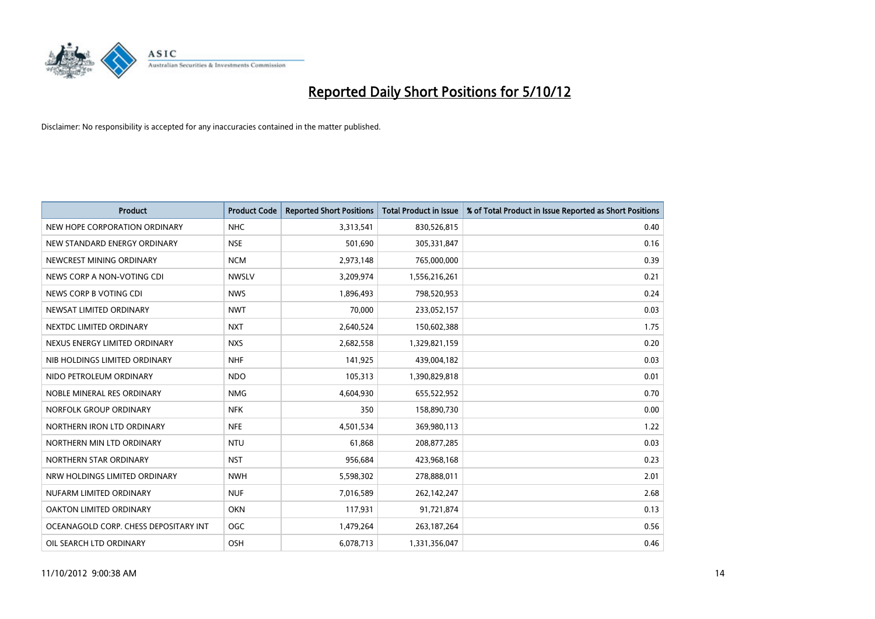

| <b>Product</b>                        | <b>Product Code</b> | <b>Reported Short Positions</b> | <b>Total Product in Issue</b> | % of Total Product in Issue Reported as Short Positions |
|---------------------------------------|---------------------|---------------------------------|-------------------------------|---------------------------------------------------------|
| NEW HOPE CORPORATION ORDINARY         | <b>NHC</b>          | 3,313,541                       | 830,526,815                   | 0.40                                                    |
| NEW STANDARD ENERGY ORDINARY          | <b>NSE</b>          | 501,690                         | 305,331,847                   | 0.16                                                    |
| NEWCREST MINING ORDINARY              | <b>NCM</b>          | 2,973,148                       | 765,000,000                   | 0.39                                                    |
| NEWS CORP A NON-VOTING CDI            | <b>NWSLV</b>        | 3,209,974                       | 1,556,216,261                 | 0.21                                                    |
| NEWS CORP B VOTING CDI                | <b>NWS</b>          | 1,896,493                       | 798,520,953                   | 0.24                                                    |
| NEWSAT LIMITED ORDINARY               | <b>NWT</b>          | 70,000                          | 233,052,157                   | 0.03                                                    |
| NEXTDC LIMITED ORDINARY               | <b>NXT</b>          | 2,640,524                       | 150,602,388                   | 1.75                                                    |
| NEXUS ENERGY LIMITED ORDINARY         | <b>NXS</b>          | 2,682,558                       | 1,329,821,159                 | 0.20                                                    |
| NIB HOLDINGS LIMITED ORDINARY         | <b>NHF</b>          | 141,925                         | 439,004,182                   | 0.03                                                    |
| NIDO PETROLEUM ORDINARY               | <b>NDO</b>          | 105,313                         | 1,390,829,818                 | 0.01                                                    |
| NOBLE MINERAL RES ORDINARY            | <b>NMG</b>          | 4,604,930                       | 655,522,952                   | 0.70                                                    |
| NORFOLK GROUP ORDINARY                | <b>NFK</b>          | 350                             | 158,890,730                   | 0.00                                                    |
| NORTHERN IRON LTD ORDINARY            | <b>NFE</b>          | 4,501,534                       | 369,980,113                   | 1.22                                                    |
| NORTHERN MIN LTD ORDINARY             | <b>NTU</b>          | 61,868                          | 208,877,285                   | 0.03                                                    |
| NORTHERN STAR ORDINARY                | <b>NST</b>          | 956,684                         | 423,968,168                   | 0.23                                                    |
| NRW HOLDINGS LIMITED ORDINARY         | <b>NWH</b>          | 5,598,302                       | 278,888,011                   | 2.01                                                    |
| NUFARM LIMITED ORDINARY               | <b>NUF</b>          | 7,016,589                       | 262,142,247                   | 2.68                                                    |
| OAKTON LIMITED ORDINARY               | <b>OKN</b>          | 117,931                         | 91,721,874                    | 0.13                                                    |
| OCEANAGOLD CORP. CHESS DEPOSITARY INT | <b>OGC</b>          | 1,479,264                       | 263, 187, 264                 | 0.56                                                    |
| OIL SEARCH LTD ORDINARY               | OSH                 | 6,078,713                       | 1,331,356,047                 | 0.46                                                    |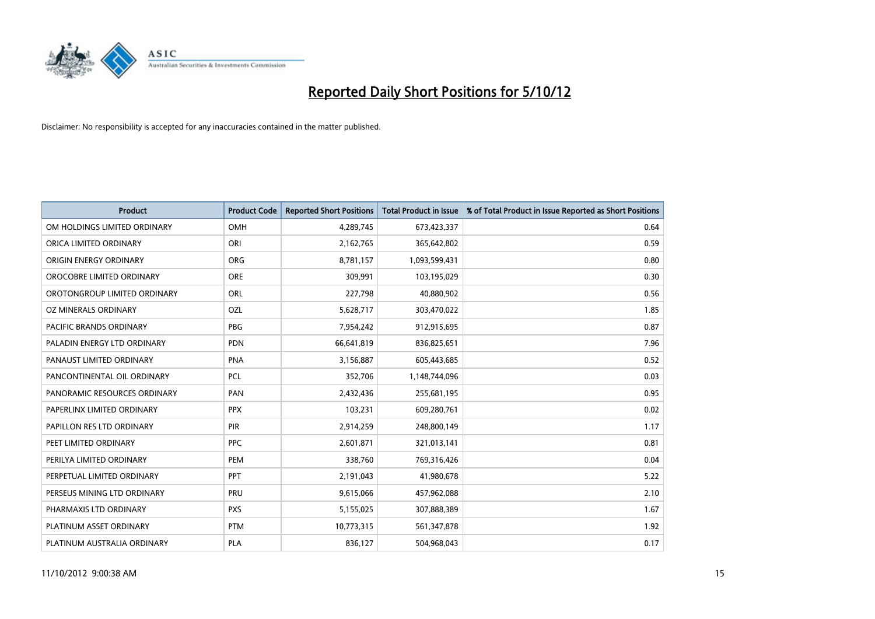

| <b>Product</b>               | <b>Product Code</b> | <b>Reported Short Positions</b> | <b>Total Product in Issue</b> | % of Total Product in Issue Reported as Short Positions |
|------------------------------|---------------------|---------------------------------|-------------------------------|---------------------------------------------------------|
| OM HOLDINGS LIMITED ORDINARY | <b>OMH</b>          | 4,289,745                       | 673,423,337                   | 0.64                                                    |
| ORICA LIMITED ORDINARY       | ORI                 | 2,162,765                       | 365,642,802                   | 0.59                                                    |
| ORIGIN ENERGY ORDINARY       | ORG                 | 8,781,157                       | 1,093,599,431                 | 0.80                                                    |
| OROCOBRE LIMITED ORDINARY    | <b>ORE</b>          | 309,991                         | 103,195,029                   | 0.30                                                    |
| OROTONGROUP LIMITED ORDINARY | ORL                 | 227,798                         | 40,880,902                    | 0.56                                                    |
| OZ MINERALS ORDINARY         | OZL                 | 5,628,717                       | 303,470,022                   | 1.85                                                    |
| PACIFIC BRANDS ORDINARY      | <b>PBG</b>          | 7,954,242                       | 912,915,695                   | 0.87                                                    |
| PALADIN ENERGY LTD ORDINARY  | <b>PDN</b>          | 66,641,819                      | 836,825,651                   | 7.96                                                    |
| PANAUST LIMITED ORDINARY     | <b>PNA</b>          | 3,156,887                       | 605,443,685                   | 0.52                                                    |
| PANCONTINENTAL OIL ORDINARY  | <b>PCL</b>          | 352,706                         | 1,148,744,096                 | 0.03                                                    |
| PANORAMIC RESOURCES ORDINARY | PAN                 | 2,432,436                       | 255,681,195                   | 0.95                                                    |
| PAPERLINX LIMITED ORDINARY   | <b>PPX</b>          | 103,231                         | 609,280,761                   | 0.02                                                    |
| PAPILLON RES LTD ORDINARY    | <b>PIR</b>          | 2,914,259                       | 248,800,149                   | 1.17                                                    |
| PEET LIMITED ORDINARY        | <b>PPC</b>          | 2,601,871                       | 321,013,141                   | 0.81                                                    |
| PERILYA LIMITED ORDINARY     | PEM                 | 338,760                         | 769,316,426                   | 0.04                                                    |
| PERPETUAL LIMITED ORDINARY   | PPT                 | 2,191,043                       | 41,980,678                    | 5.22                                                    |
| PERSEUS MINING LTD ORDINARY  | PRU                 | 9,615,066                       | 457,962,088                   | 2.10                                                    |
| PHARMAXIS LTD ORDINARY       | <b>PXS</b>          | 5,155,025                       | 307,888,389                   | 1.67                                                    |
| PLATINUM ASSET ORDINARY      | <b>PTM</b>          | 10,773,315                      | 561,347,878                   | 1.92                                                    |
| PLATINUM AUSTRALIA ORDINARY  | <b>PLA</b>          | 836,127                         | 504,968,043                   | 0.17                                                    |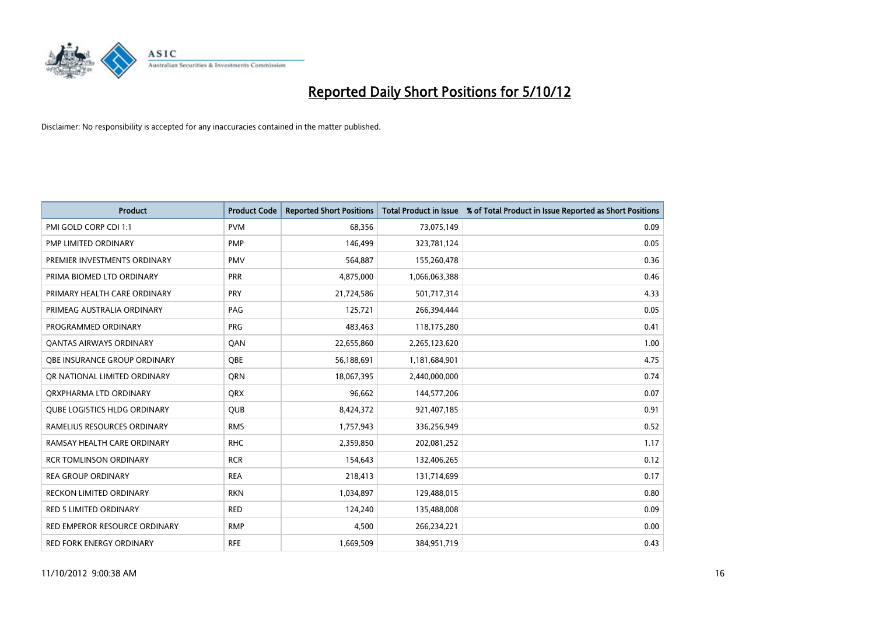

| <b>Product</b>                  | <b>Product Code</b> | <b>Reported Short Positions</b> | <b>Total Product in Issue</b> | % of Total Product in Issue Reported as Short Positions |
|---------------------------------|---------------------|---------------------------------|-------------------------------|---------------------------------------------------------|
| PMI GOLD CORP CDI 1:1           | <b>PVM</b>          | 68,356                          | 73,075,149                    | 0.09                                                    |
| PMP LIMITED ORDINARY            | <b>PMP</b>          | 146,499                         | 323,781,124                   | 0.05                                                    |
| PREMIER INVESTMENTS ORDINARY    | <b>PMV</b>          | 564,887                         | 155,260,478                   | 0.36                                                    |
| PRIMA BIOMED LTD ORDINARY       | <b>PRR</b>          | 4,875,000                       | 1,066,063,388                 | 0.46                                                    |
| PRIMARY HEALTH CARE ORDINARY    | PRY                 | 21,724,586                      | 501,717,314                   | 4.33                                                    |
| PRIMEAG AUSTRALIA ORDINARY      | PAG                 | 125,721                         | 266,394,444                   | 0.05                                                    |
| PROGRAMMED ORDINARY             | <b>PRG</b>          | 483.463                         | 118,175,280                   | 0.41                                                    |
| <b>QANTAS AIRWAYS ORDINARY</b>  | QAN                 | 22,655,860                      | 2,265,123,620                 | 1.00                                                    |
| OBE INSURANCE GROUP ORDINARY    | <b>OBE</b>          | 56,188,691                      | 1,181,684,901                 | 4.75                                                    |
| OR NATIONAL LIMITED ORDINARY    | <b>ORN</b>          | 18,067,395                      | 2,440,000,000                 | 0.74                                                    |
| ORXPHARMA LTD ORDINARY          | <b>QRX</b>          | 96,662                          | 144,577,206                   | 0.07                                                    |
| QUBE LOGISTICS HLDG ORDINARY    | QUB                 | 8,424,372                       | 921,407,185                   | 0.91                                                    |
| RAMELIUS RESOURCES ORDINARY     | <b>RMS</b>          | 1,757,943                       | 336,256,949                   | 0.52                                                    |
| RAMSAY HEALTH CARE ORDINARY     | <b>RHC</b>          | 2,359,850                       | 202,081,252                   | 1.17                                                    |
| <b>RCR TOMLINSON ORDINARY</b>   | <b>RCR</b>          | 154,643                         | 132,406,265                   | 0.12                                                    |
| <b>REA GROUP ORDINARY</b>       | <b>REA</b>          | 218,413                         | 131,714,699                   | 0.17                                                    |
| <b>RECKON LIMITED ORDINARY</b>  | <b>RKN</b>          | 1,034,897                       | 129,488,015                   | 0.80                                                    |
| <b>RED 5 LIMITED ORDINARY</b>   | <b>RED</b>          | 124,240                         | 135,488,008                   | 0.09                                                    |
| RED EMPEROR RESOURCE ORDINARY   | <b>RMP</b>          | 4,500                           | 266,234,221                   | 0.00                                                    |
| <b>RED FORK ENERGY ORDINARY</b> | <b>RFE</b>          | 1,669,509                       | 384,951,719                   | 0.43                                                    |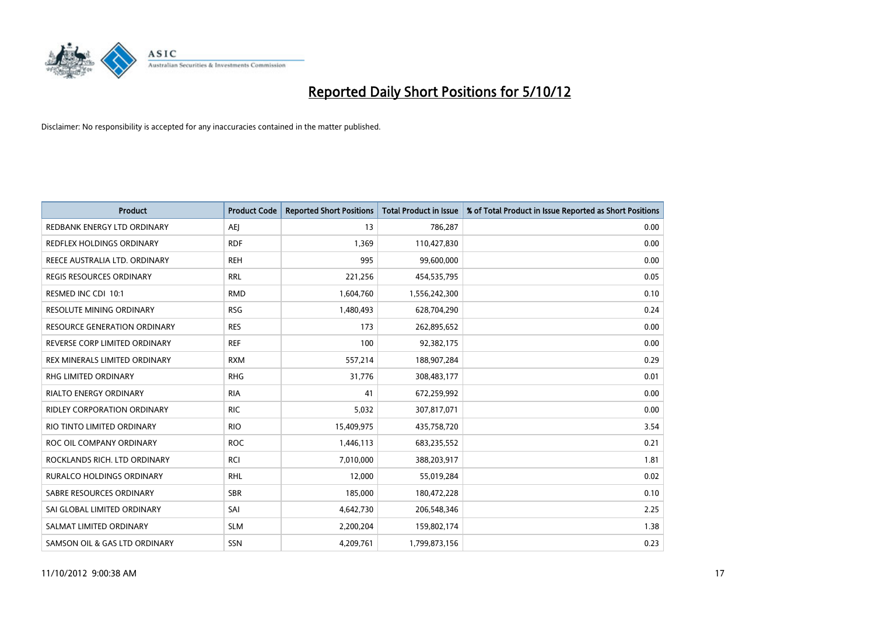

| <b>Product</b>                     | <b>Product Code</b> | <b>Reported Short Positions</b> | <b>Total Product in Issue</b> | % of Total Product in Issue Reported as Short Positions |
|------------------------------------|---------------------|---------------------------------|-------------------------------|---------------------------------------------------------|
| REDBANK ENERGY LTD ORDINARY        | AEI                 | 13                              | 786,287                       | 0.00                                                    |
| REDFLEX HOLDINGS ORDINARY          | <b>RDF</b>          | 1,369                           | 110,427,830                   | 0.00                                                    |
| REECE AUSTRALIA LTD. ORDINARY      | <b>REH</b>          | 995                             | 99,600,000                    | 0.00                                                    |
| REGIS RESOURCES ORDINARY           | <b>RRL</b>          | 221,256                         | 454,535,795                   | 0.05                                                    |
| RESMED INC CDI 10:1                | <b>RMD</b>          | 1,604,760                       | 1,556,242,300                 | 0.10                                                    |
| <b>RESOLUTE MINING ORDINARY</b>    | <b>RSG</b>          | 1,480,493                       | 628,704,290                   | 0.24                                                    |
| RESOURCE GENERATION ORDINARY       | <b>RES</b>          | 173                             | 262,895,652                   | 0.00                                                    |
| REVERSE CORP LIMITED ORDINARY      | <b>REF</b>          | 100                             | 92,382,175                    | 0.00                                                    |
| REX MINERALS LIMITED ORDINARY      | <b>RXM</b>          | 557,214                         | 188,907,284                   | 0.29                                                    |
| <b>RHG LIMITED ORDINARY</b>        | <b>RHG</b>          | 31,776                          | 308,483,177                   | 0.01                                                    |
| RIALTO ENERGY ORDINARY             | <b>RIA</b>          | 41                              | 672,259,992                   | 0.00                                                    |
| <b>RIDLEY CORPORATION ORDINARY</b> | <b>RIC</b>          | 5,032                           | 307,817,071                   | 0.00                                                    |
| RIO TINTO LIMITED ORDINARY         | <b>RIO</b>          | 15,409,975                      | 435,758,720                   | 3.54                                                    |
| ROC OIL COMPANY ORDINARY           | <b>ROC</b>          | 1,446,113                       | 683,235,552                   | 0.21                                                    |
| ROCKLANDS RICH. LTD ORDINARY       | <b>RCI</b>          | 7,010,000                       | 388,203,917                   | 1.81                                                    |
| RURALCO HOLDINGS ORDINARY          | <b>RHL</b>          | 12,000                          | 55,019,284                    | 0.02                                                    |
| SABRE RESOURCES ORDINARY           | <b>SBR</b>          | 185,000                         | 180,472,228                   | 0.10                                                    |
| SAI GLOBAL LIMITED ORDINARY        | SAI                 | 4,642,730                       | 206,548,346                   | 2.25                                                    |
| SALMAT LIMITED ORDINARY            | <b>SLM</b>          | 2,200,204                       | 159,802,174                   | 1.38                                                    |
| SAMSON OIL & GAS LTD ORDINARY      | <b>SSN</b>          | 4,209,761                       | 1,799,873,156                 | 0.23                                                    |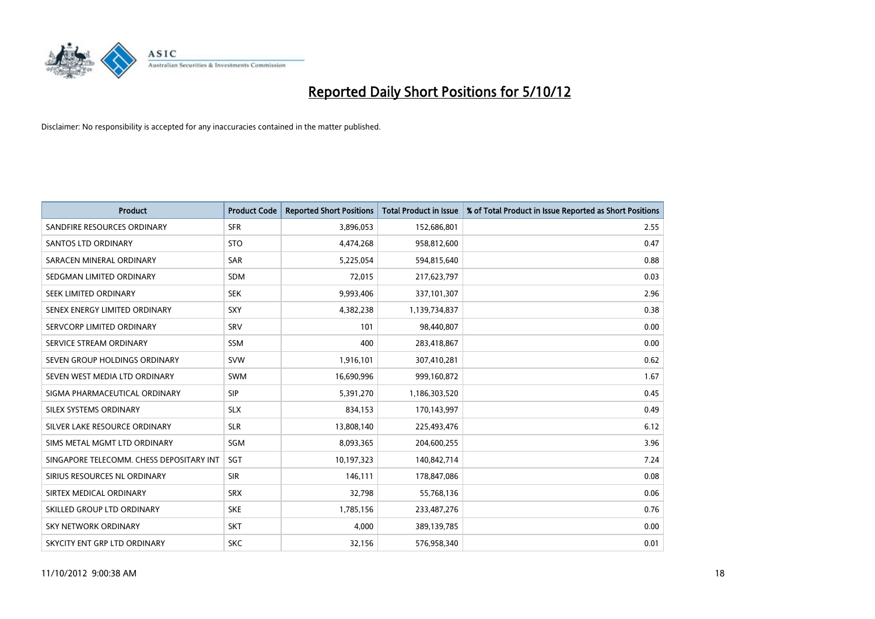

| <b>Product</b>                           | <b>Product Code</b> | <b>Reported Short Positions</b> | <b>Total Product in Issue</b> | % of Total Product in Issue Reported as Short Positions |
|------------------------------------------|---------------------|---------------------------------|-------------------------------|---------------------------------------------------------|
| SANDFIRE RESOURCES ORDINARY              | <b>SFR</b>          | 3,896,053                       | 152,686,801                   | 2.55                                                    |
| <b>SANTOS LTD ORDINARY</b>               | <b>STO</b>          | 4,474,268                       | 958,812,600                   | 0.47                                                    |
| SARACEN MINERAL ORDINARY                 | <b>SAR</b>          | 5,225,054                       | 594,815,640                   | 0.88                                                    |
| SEDGMAN LIMITED ORDINARY                 | <b>SDM</b>          | 72,015                          | 217,623,797                   | 0.03                                                    |
| <b>SEEK LIMITED ORDINARY</b>             | <b>SEK</b>          | 9,993,406                       | 337,101,307                   | 2.96                                                    |
| SENEX ENERGY LIMITED ORDINARY            | SXY                 | 4,382,238                       | 1,139,734,837                 | 0.38                                                    |
| SERVCORP LIMITED ORDINARY                | SRV                 | 101                             | 98,440,807                    | 0.00                                                    |
| SERVICE STREAM ORDINARY                  | <b>SSM</b>          | 400                             | 283,418,867                   | 0.00                                                    |
| SEVEN GROUP HOLDINGS ORDINARY            | <b>SVW</b>          | 1,916,101                       | 307,410,281                   | 0.62                                                    |
| SEVEN WEST MEDIA LTD ORDINARY            | <b>SWM</b>          | 16,690,996                      | 999,160,872                   | 1.67                                                    |
| SIGMA PHARMACEUTICAL ORDINARY            | <b>SIP</b>          | 5,391,270                       | 1,186,303,520                 | 0.45                                                    |
| <b>SILEX SYSTEMS ORDINARY</b>            | <b>SLX</b>          | 834,153                         | 170,143,997                   | 0.49                                                    |
| SILVER LAKE RESOURCE ORDINARY            | <b>SLR</b>          | 13,808,140                      | 225,493,476                   | 6.12                                                    |
| SIMS METAL MGMT LTD ORDINARY             | SGM                 | 8,093,365                       | 204,600,255                   | 3.96                                                    |
| SINGAPORE TELECOMM. CHESS DEPOSITARY INT | <b>SGT</b>          | 10,197,323                      | 140,842,714                   | 7.24                                                    |
| SIRIUS RESOURCES NL ORDINARY             | <b>SIR</b>          | 146,111                         | 178,847,086                   | 0.08                                                    |
| SIRTEX MEDICAL ORDINARY                  | <b>SRX</b>          | 32,798                          | 55,768,136                    | 0.06                                                    |
| SKILLED GROUP LTD ORDINARY               | <b>SKE</b>          | 1,785,156                       | 233,487,276                   | 0.76                                                    |
| <b>SKY NETWORK ORDINARY</b>              | <b>SKT</b>          | 4,000                           | 389,139,785                   | 0.00                                                    |
| SKYCITY ENT GRP LTD ORDINARY             | <b>SKC</b>          | 32,156                          | 576,958,340                   | 0.01                                                    |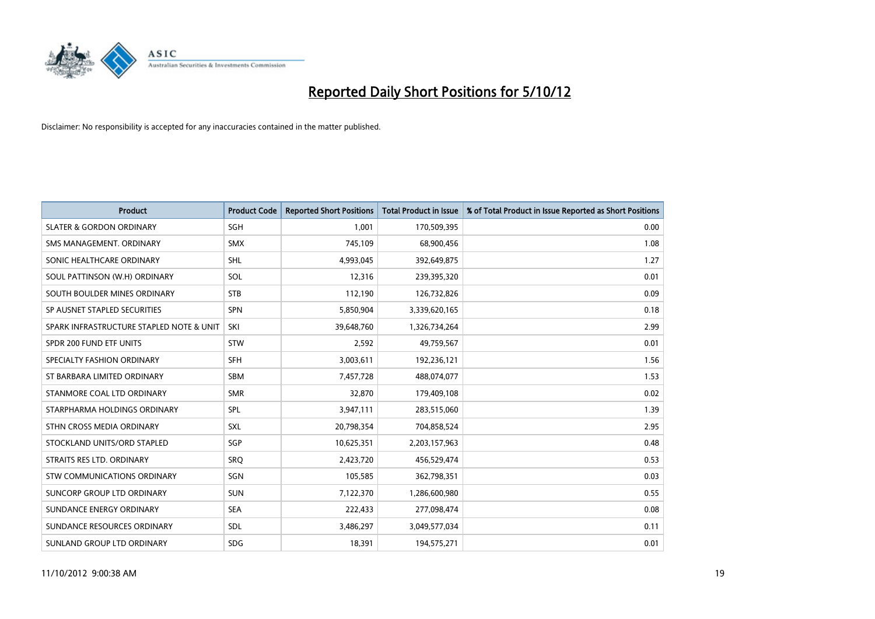

| <b>Product</b>                           | <b>Product Code</b> | <b>Reported Short Positions</b> | <b>Total Product in Issue</b> | % of Total Product in Issue Reported as Short Positions |
|------------------------------------------|---------------------|---------------------------------|-------------------------------|---------------------------------------------------------|
| <b>SLATER &amp; GORDON ORDINARY</b>      | <b>SGH</b>          | 1,001                           | 170,509,395                   | 0.00                                                    |
| SMS MANAGEMENT, ORDINARY                 | <b>SMX</b>          | 745,109                         | 68,900,456                    | 1.08                                                    |
| SONIC HEALTHCARE ORDINARY                | <b>SHL</b>          | 4,993,045                       | 392,649,875                   | 1.27                                                    |
| SOUL PATTINSON (W.H) ORDINARY            | SOL                 | 12,316                          | 239,395,320                   | 0.01                                                    |
| SOUTH BOULDER MINES ORDINARY             | <b>STB</b>          | 112,190                         | 126,732,826                   | 0.09                                                    |
| SP AUSNET STAPLED SECURITIES             | <b>SPN</b>          | 5,850,904                       | 3,339,620,165                 | 0.18                                                    |
| SPARK INFRASTRUCTURE STAPLED NOTE & UNIT | SKI                 | 39,648,760                      | 1,326,734,264                 | 2.99                                                    |
| SPDR 200 FUND ETF UNITS                  | <b>STW</b>          | 2,592                           | 49,759,567                    | 0.01                                                    |
| SPECIALTY FASHION ORDINARY               | <b>SFH</b>          | 3,003,611                       | 192,236,121                   | 1.56                                                    |
| ST BARBARA LIMITED ORDINARY              | <b>SBM</b>          | 7,457,728                       | 488,074,077                   | 1.53                                                    |
| STANMORE COAL LTD ORDINARY               | <b>SMR</b>          | 32,870                          | 179,409,108                   | 0.02                                                    |
| STARPHARMA HOLDINGS ORDINARY             | SPL                 | 3,947,111                       | 283,515,060                   | 1.39                                                    |
| STHN CROSS MEDIA ORDINARY                | <b>SXL</b>          | 20,798,354                      | 704,858,524                   | 2.95                                                    |
| STOCKLAND UNITS/ORD STAPLED              | SGP                 | 10,625,351                      | 2,203,157,963                 | 0.48                                                    |
| STRAITS RES LTD. ORDINARY                | SRO                 | 2,423,720                       | 456,529,474                   | 0.53                                                    |
| STW COMMUNICATIONS ORDINARY              | SGN                 | 105,585                         | 362,798,351                   | 0.03                                                    |
| SUNCORP GROUP LTD ORDINARY               | <b>SUN</b>          | 7,122,370                       | 1,286,600,980                 | 0.55                                                    |
| SUNDANCE ENERGY ORDINARY                 | <b>SEA</b>          | 222,433                         | 277,098,474                   | 0.08                                                    |
| SUNDANCE RESOURCES ORDINARY              | <b>SDL</b>          | 3,486,297                       | 3,049,577,034                 | 0.11                                                    |
| SUNLAND GROUP LTD ORDINARY               | <b>SDG</b>          | 18,391                          | 194,575,271                   | 0.01                                                    |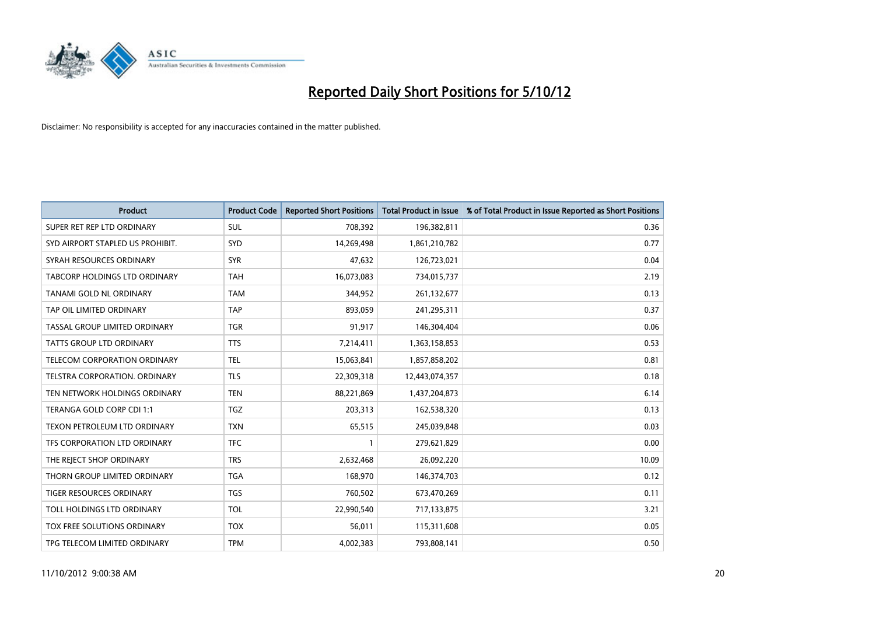

| <b>Product</b>                       | <b>Product Code</b> | <b>Reported Short Positions</b> | <b>Total Product in Issue</b> | % of Total Product in Issue Reported as Short Positions |
|--------------------------------------|---------------------|---------------------------------|-------------------------------|---------------------------------------------------------|
| SUPER RET REP LTD ORDINARY           | <b>SUL</b>          | 708,392                         | 196,382,811                   | 0.36                                                    |
| SYD AIRPORT STAPLED US PROHIBIT.     | <b>SYD</b>          | 14,269,498                      | 1,861,210,782                 | 0.77                                                    |
| SYRAH RESOURCES ORDINARY             | <b>SYR</b>          | 47,632                          | 126,723,021                   | 0.04                                                    |
| TABCORP HOLDINGS LTD ORDINARY        | <b>TAH</b>          | 16,073,083                      | 734,015,737                   | 2.19                                                    |
| TANAMI GOLD NL ORDINARY              | <b>TAM</b>          | 344,952                         | 261,132,677                   | 0.13                                                    |
| TAP OIL LIMITED ORDINARY             | <b>TAP</b>          | 893,059                         | 241,295,311                   | 0.37                                                    |
| TASSAL GROUP LIMITED ORDINARY        | <b>TGR</b>          | 91,917                          | 146,304,404                   | 0.06                                                    |
| <b>TATTS GROUP LTD ORDINARY</b>      | <b>TTS</b>          | 7,214,411                       | 1,363,158,853                 | 0.53                                                    |
| TELECOM CORPORATION ORDINARY         | <b>TEL</b>          | 15,063,841                      | 1,857,858,202                 | 0.81                                                    |
| <b>TELSTRA CORPORATION, ORDINARY</b> | <b>TLS</b>          | 22,309,318                      | 12,443,074,357                | 0.18                                                    |
| TEN NETWORK HOLDINGS ORDINARY        | <b>TEN</b>          | 88,221,869                      | 1,437,204,873                 | 6.14                                                    |
| TERANGA GOLD CORP CDI 1:1            | <b>TGZ</b>          | 203,313                         | 162,538,320                   | 0.13                                                    |
| TEXON PETROLEUM LTD ORDINARY         | <b>TXN</b>          | 65,515                          | 245,039,848                   | 0.03                                                    |
| TFS CORPORATION LTD ORDINARY         | <b>TFC</b>          |                                 | 279,621,829                   | 0.00                                                    |
| THE REJECT SHOP ORDINARY             | <b>TRS</b>          | 2,632,468                       | 26,092,220                    | 10.09                                                   |
| THORN GROUP LIMITED ORDINARY         | <b>TGA</b>          | 168,970                         | 146,374,703                   | 0.12                                                    |
| <b>TIGER RESOURCES ORDINARY</b>      | <b>TGS</b>          | 760,502                         | 673,470,269                   | 0.11                                                    |
| TOLL HOLDINGS LTD ORDINARY           | <b>TOL</b>          | 22,990,540                      | 717,133,875                   | 3.21                                                    |
| <b>TOX FREE SOLUTIONS ORDINARY</b>   | <b>TOX</b>          | 56,011                          | 115,311,608                   | 0.05                                                    |
| TPG TELECOM LIMITED ORDINARY         | <b>TPM</b>          | 4.002.383                       | 793,808,141                   | 0.50                                                    |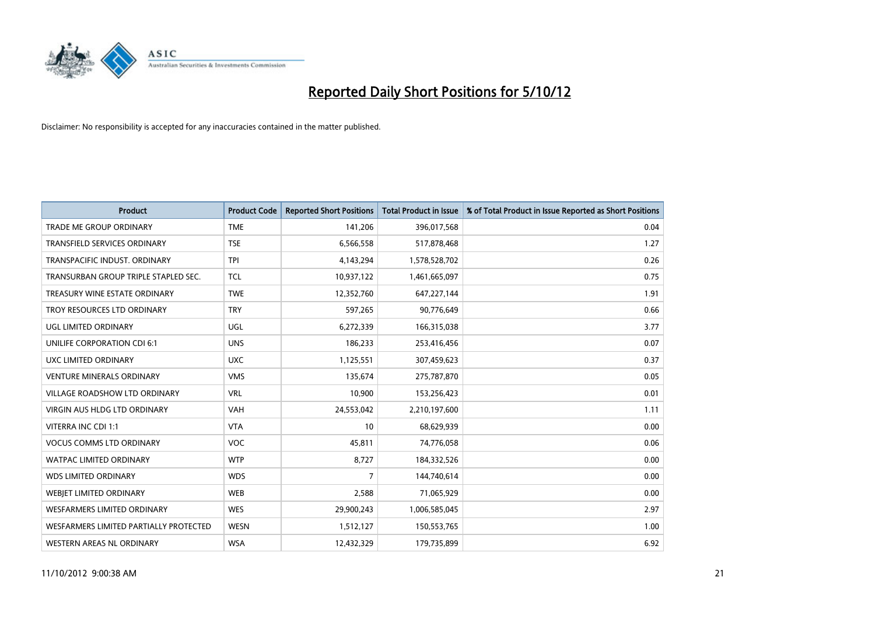

| <b>Product</b>                         | <b>Product Code</b> | <b>Reported Short Positions</b> | <b>Total Product in Issue</b> | % of Total Product in Issue Reported as Short Positions |
|----------------------------------------|---------------------|---------------------------------|-------------------------------|---------------------------------------------------------|
| <b>TRADE ME GROUP ORDINARY</b>         | <b>TME</b>          | 141,206                         | 396,017,568                   | 0.04                                                    |
| TRANSFIELD SERVICES ORDINARY           | <b>TSE</b>          | 6,566,558                       | 517,878,468                   | 1.27                                                    |
| TRANSPACIFIC INDUST, ORDINARY          | <b>TPI</b>          | 4,143,294                       | 1,578,528,702                 | 0.26                                                    |
| TRANSURBAN GROUP TRIPLE STAPLED SEC.   | <b>TCL</b>          | 10,937,122                      | 1,461,665,097                 | 0.75                                                    |
| TREASURY WINE ESTATE ORDINARY          | <b>TWE</b>          | 12,352,760                      | 647,227,144                   | 1.91                                                    |
| TROY RESOURCES LTD ORDINARY            | <b>TRY</b>          | 597,265                         | 90,776,649                    | 0.66                                                    |
| UGL LIMITED ORDINARY                   | UGL                 | 6,272,339                       | 166,315,038                   | 3.77                                                    |
| UNILIFE CORPORATION CDI 6:1            | <b>UNS</b>          | 186,233                         | 253,416,456                   | 0.07                                                    |
| UXC LIMITED ORDINARY                   | <b>UXC</b>          | 1,125,551                       | 307,459,623                   | 0.37                                                    |
| <b>VENTURE MINERALS ORDINARY</b>       | <b>VMS</b>          | 135,674                         | 275,787,870                   | 0.05                                                    |
| VILLAGE ROADSHOW LTD ORDINARY          | <b>VRL</b>          | 10,900                          | 153,256,423                   | 0.01                                                    |
| <b>VIRGIN AUS HLDG LTD ORDINARY</b>    | <b>VAH</b>          | 24,553,042                      | 2,210,197,600                 | 1.11                                                    |
| VITERRA INC CDI 1:1                    | <b>VTA</b>          | 10                              | 68,629,939                    | 0.00                                                    |
| <b>VOCUS COMMS LTD ORDINARY</b>        | <b>VOC</b>          | 45,811                          | 74,776,058                    | 0.06                                                    |
| <b>WATPAC LIMITED ORDINARY</b>         | <b>WTP</b>          | 8,727                           | 184,332,526                   | 0.00                                                    |
| <b>WDS LIMITED ORDINARY</b>            | <b>WDS</b>          | 7                               | 144,740,614                   | 0.00                                                    |
| WEBIET LIMITED ORDINARY                | <b>WEB</b>          | 2,588                           | 71,065,929                    | 0.00                                                    |
| <b>WESFARMERS LIMITED ORDINARY</b>     | <b>WES</b>          | 29,900,243                      | 1,006,585,045                 | 2.97                                                    |
| WESFARMERS LIMITED PARTIALLY PROTECTED | <b>WESN</b>         | 1,512,127                       | 150,553,765                   | 1.00                                                    |
| WESTERN AREAS NL ORDINARY              | <b>WSA</b>          | 12,432,329                      | 179,735,899                   | 6.92                                                    |